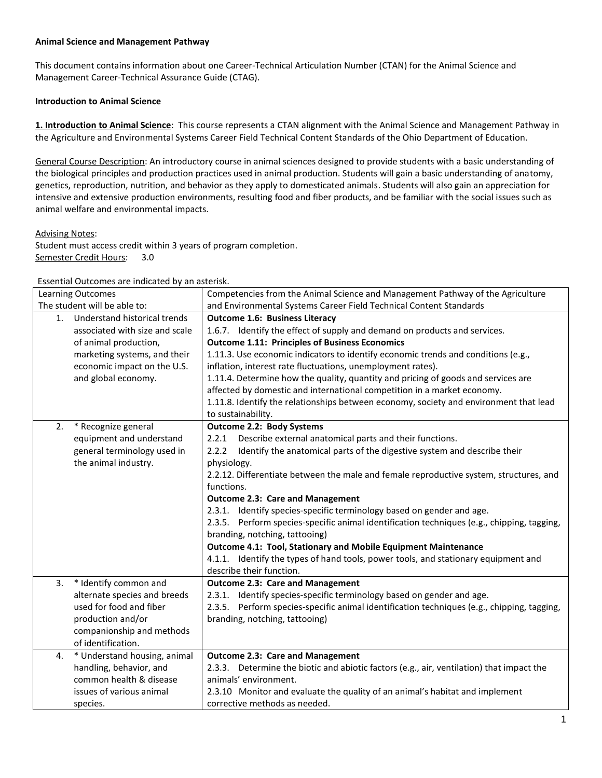## **Animal Science and Management Pathway**

This document contains information about one Career-Technical Articulation Number (CTAN) for the Animal Science and Management Career-Technical Assurance Guide (CTAG).

## **Introduction to Animal Science**

**1. Introduction to Animal Science**: This course represents a CTAN alignment with the Animal Science and Management Pathway in the Agriculture and Environmental Systems Career Field Technical Content Standards of the Ohio Department of Education.

General Course Description: An introductory course in animal sciences designed to provide students with a basic understanding of the biological principles and production practices used in animal production. Students will gain a basic understanding of anatomy, genetics, reproduction, nutrition, and behavior as they apply to domesticated animals. Students will also gain an appreciation for intensive and extensive production environments, resulting food and fiber products, and be familiar with the social issues such as animal welfare and environmental impacts.

Advising Notes:

Student must access credit within 3 years of program completion. Semester Credit Hours: 3.0

Essential Outcomes are indicated by an asterisk.

|                              | Esserium Outconnes are marcated by an asterism.<br><b>Learning Outcomes</b> | Competencies from the Animal Science and Management Pathway of the Agriculture             |
|------------------------------|-----------------------------------------------------------------------------|--------------------------------------------------------------------------------------------|
| The student will be able to: |                                                                             | and Environmental Systems Career Field Technical Content Standards                         |
| 1.                           | Understand historical trends                                                | <b>Outcome 1.6: Business Literacy</b>                                                      |
|                              | associated with size and scale                                              | 1.6.7. Identify the effect of supply and demand on products and services.                  |
|                              | of animal production,                                                       | <b>Outcome 1.11: Principles of Business Economics</b>                                      |
|                              | marketing systems, and their                                                | 1.11.3. Use economic indicators to identify economic trends and conditions (e.g.,          |
|                              | economic impact on the U.S.                                                 | inflation, interest rate fluctuations, unemployment rates).                                |
|                              | and global economy.                                                         | 1.11.4. Determine how the quality, quantity and pricing of goods and services are          |
|                              |                                                                             | affected by domestic and international competition in a market economy.                    |
|                              |                                                                             | 1.11.8. Identify the relationships between economy, society and environment that lead      |
|                              |                                                                             | to sustainability.                                                                         |
| 2.                           | * Recognize general                                                         | <b>Outcome 2.2: Body Systems</b>                                                           |
|                              | equipment and understand                                                    | Describe external anatomical parts and their functions.<br>2.2.1                           |
|                              | general terminology used in                                                 | Identify the anatomical parts of the digestive system and describe their<br>2.2.2          |
|                              | the animal industry.                                                        | physiology.                                                                                |
|                              |                                                                             | 2.2.12. Differentiate between the male and female reproductive system, structures, and     |
|                              |                                                                             | functions.                                                                                 |
|                              |                                                                             | <b>Outcome 2.3: Care and Management</b>                                                    |
|                              |                                                                             | 2.3.1. Identify species-specific terminology based on gender and age.                      |
|                              |                                                                             | 2.3.5. Perform species-specific animal identification techniques (e.g., chipping, tagging, |
|                              |                                                                             | branding, notching, tattooing)                                                             |
|                              |                                                                             | Outcome 4.1: Tool, Stationary and Mobile Equipment Maintenance                             |
|                              |                                                                             | 4.1.1. Identify the types of hand tools, power tools, and stationary equipment and         |
|                              |                                                                             | describe their function.                                                                   |
| 3.                           | * Identify common and                                                       | <b>Outcome 2.3: Care and Management</b>                                                    |
|                              | alternate species and breeds                                                | 2.3.1. Identify species-specific terminology based on gender and age.                      |
|                              | used for food and fiber                                                     | 2.3.5. Perform species-specific animal identification techniques (e.g., chipping, tagging, |
|                              | production and/or                                                           | branding, notching, tattooing)                                                             |
|                              | companionship and methods                                                   |                                                                                            |
|                              | of identification.                                                          |                                                                                            |
| 4.                           | * Understand housing, animal                                                | <b>Outcome 2.3: Care and Management</b>                                                    |
|                              | handling, behavior, and                                                     | 2.3.3. Determine the biotic and abiotic factors (e.g., air, ventilation) that impact the   |
|                              | common health & disease                                                     | animals' environment.                                                                      |
|                              | issues of various animal                                                    | 2.3.10 Monitor and evaluate the quality of an animal's habitat and implement               |
|                              | species.                                                                    | corrective methods as needed.                                                              |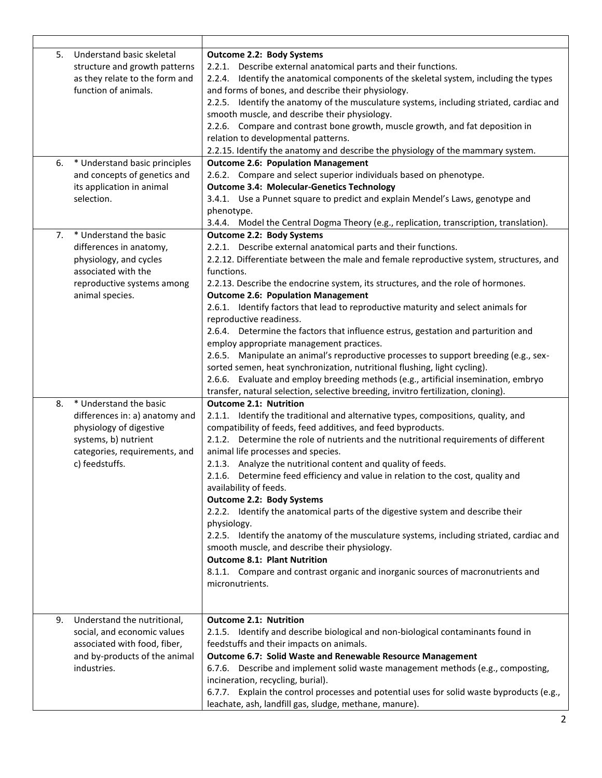| 5. | Understand basic skeletal<br>structure and growth patterns<br>as they relate to the form and<br>function of animals.                                           | <b>Outcome 2.2: Body Systems</b><br>2.2.1. Describe external anatomical parts and their functions.<br>2.2.4. Identify the anatomical components of the skeletal system, including the types<br>and forms of bones, and describe their physiology.<br>2.2.5. Identify the anatomy of the musculature systems, including striated, cardiac and<br>smooth muscle, and describe their physiology.<br>2.2.6. Compare and contrast bone growth, muscle growth, and fat deposition in<br>relation to developmental patterns.<br>2.2.15. Identify the anatomy and describe the physiology of the mammary system.                                                                                                                                                                                                                                                                                                              |
|----|----------------------------------------------------------------------------------------------------------------------------------------------------------------|-----------------------------------------------------------------------------------------------------------------------------------------------------------------------------------------------------------------------------------------------------------------------------------------------------------------------------------------------------------------------------------------------------------------------------------------------------------------------------------------------------------------------------------------------------------------------------------------------------------------------------------------------------------------------------------------------------------------------------------------------------------------------------------------------------------------------------------------------------------------------------------------------------------------------|
| 6. | * Understand basic principles                                                                                                                                  | <b>Outcome 2.6: Population Management</b>                                                                                                                                                                                                                                                                                                                                                                                                                                                                                                                                                                                                                                                                                                                                                                                                                                                                             |
|    | and concepts of genetics and<br>its application in animal<br>selection.                                                                                        | 2.6.2. Compare and select superior individuals based on phenotype.<br><b>Outcome 3.4: Molecular-Genetics Technology</b><br>3.4.1. Use a Punnet square to predict and explain Mendel's Laws, genotype and<br>phenotype.<br>3.4.4. Model the Central Dogma Theory (e.g., replication, transcription, translation).                                                                                                                                                                                                                                                                                                                                                                                                                                                                                                                                                                                                      |
| 7. | * Understand the basic                                                                                                                                         | <b>Outcome 2.2: Body Systems</b>                                                                                                                                                                                                                                                                                                                                                                                                                                                                                                                                                                                                                                                                                                                                                                                                                                                                                      |
|    | differences in anatomy,<br>physiology, and cycles<br>associated with the<br>reproductive systems among<br>animal species.                                      | 2.2.1. Describe external anatomical parts and their functions.<br>2.2.12. Differentiate between the male and female reproductive system, structures, and<br>functions.<br>2.2.13. Describe the endocrine system, its structures, and the role of hormones.<br><b>Outcome 2.6: Population Management</b>                                                                                                                                                                                                                                                                                                                                                                                                                                                                                                                                                                                                               |
|    |                                                                                                                                                                | 2.6.1. Identify factors that lead to reproductive maturity and select animals for<br>reproductive readiness.<br>2.6.4. Determine the factors that influence estrus, gestation and parturition and<br>employ appropriate management practices.<br>2.6.5. Manipulate an animal's reproductive processes to support breeding (e.g., sex-<br>sorted semen, heat synchronization, nutritional flushing, light cycling).<br>2.6.6. Evaluate and employ breeding methods (e.g., artificial insemination, embryo<br>transfer, natural selection, selective breeding, invitro fertilization, cloning).                                                                                                                                                                                                                                                                                                                         |
| 8. | * Understand the basic<br>differences in: a) anatomy and<br>physiology of digestive<br>systems, b) nutrient<br>categories, requirements, and<br>c) feedstuffs. | <b>Outcome 2.1: Nutrition</b><br>2.1.1. Identify the traditional and alternative types, compositions, quality, and<br>compatibility of feeds, feed additives, and feed byproducts.<br>2.1.2. Determine the role of nutrients and the nutritional requirements of different<br>animal life processes and species.<br>2.1.3. Analyze the nutritional content and quality of feeds.<br>2.1.6. Determine feed efficiency and value in relation to the cost, quality and<br>availability of feeds.<br>Outcome 2.2: Body Systems<br>2.2.2. Identify the anatomical parts of the digestive system and describe their<br>physiology.<br>2.2.5. Identify the anatomy of the musculature systems, including striated, cardiac and<br>smooth muscle, and describe their physiology.<br><b>Outcome 8.1: Plant Nutrition</b><br>8.1.1. Compare and contrast organic and inorganic sources of macronutrients and<br>micronutrients. |
| 9. | Understand the nutritional,<br>social, and economic values<br>associated with food, fiber,<br>and by-products of the animal<br>industries.                     | <b>Outcome 2.1: Nutrition</b><br>2.1.5. Identify and describe biological and non-biological contaminants found in<br>feedstuffs and their impacts on animals.<br><b>Outcome 6.7: Solid Waste and Renewable Resource Management</b><br>6.7.6. Describe and implement solid waste management methods (e.g., composting,<br>incineration, recycling, burial).<br>6.7.7. Explain the control processes and potential uses for solid waste byproducts (e.g.,<br>leachate, ash, landfill gas, sludge, methane, manure).                                                                                                                                                                                                                                                                                                                                                                                                     |

 $\overline{1}$